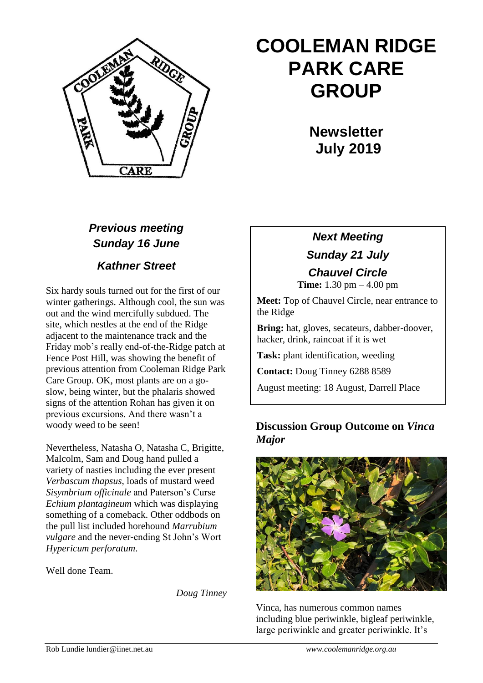

# **COOLEMAN RIDGE PARK CARE GROUP**

**Newsletter July 2019** 

## *Previous meeting Sunday 16 June*

*Kathner Street*

Six hardy souls turned out for the first of our winter gatherings. Although cool, the sun was out and the wind mercifully subdued. The site, which nestles at the end of the Ridge adjacent to the maintenance track and the Friday mob's really end-of-the-Ridge patch at Fence Post Hill, was showing the benefit of previous attention from Cooleman Ridge Park Care Group. OK, most plants are on a goslow, being winter, but the phalaris showed signs of the attention Rohan has given it on previous excursions. And there wasn't a woody weed to be seen!

Nevertheless, Natasha O, Natasha C, Brigitte, Malcolm, Sam and Doug hand pulled a variety of nasties including the ever present *Verbascum thapsus*, loads of mustard weed *Sisymbrium officinale* and Paterson's Curse *Echium plantagineum* which was displaying something of a comeback. Other oddbods on the pull list included horehound *Marrubium vulgare* and the never-ending St John's Wort *Hypericum perforatum*.

Well done Team.

*Doug Tinney*

## *Next Meeting Sunday 21 July Chauvel Circle*

**Time:** 1.30 pm – 4.00 pm

**Meet:** Top of Chauvel Circle, near entrance to the Ridge

**Bring:** hat, gloves, secateurs, dabber-doover, hacker, drink, raincoat if it is wet

**Task:** plant identification, weeding

**Contact:** Doug Tinney 6288 8589

August meeting: 18 August, Darrell Place

### **Discussion Group Outcome on** *Vinca Major*



Vinca, has numerous common names including blue periwinkle, bigleaf periwinkle, large periwinkle and greater periwinkle. It's